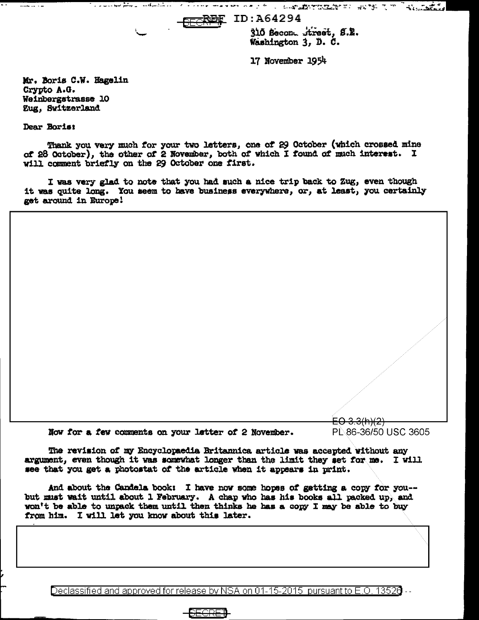**SECREE** ID:A64294

310 Becond Street, S.R. Washington 3, D. C.

17 November 1954

Mr. Boris C.W. Hagelin Crypto A.G. Weinbergstrasse 10 Zug, Switzerland

لتكتمسهما وعفق سوعاء والاراد

Dear Boris;

سالا الدراسية مسامة

Thank you very much for your two letters, one of 29 October (which crossed mine of 28 October), the other of 2 November, both of which I found of much interest. I will comment briefly on the 29 October one first.

I was very glad to note that you had such a nice trip back to Zug, even though it was quite long. You seem to have business everywhere, or, at least, you certainly get around in Europe!

<del>EO 3.3(h)(2)</del> Now for a few comments on your letter of 2 November. PL 86-36/50 USC 3605

The revision of my Encyclopaedia Britannica article was accepted without any argument, even though it was somewhat longer than the limit they set for me. I will see that you get a photostat of the article when it appears in print.

And about the Candela book: I have now some hopes of getting a copy for you-but must wait until about 1 February. A chap who has his books all packed up, and won't be able to unpack them until then thinks he has a copy I may be able to buy from him. I will let you know about this later.

Declassified and approved for release by NSA on 01-15-2015 pursuant to E.O. 13520  $\cdots$